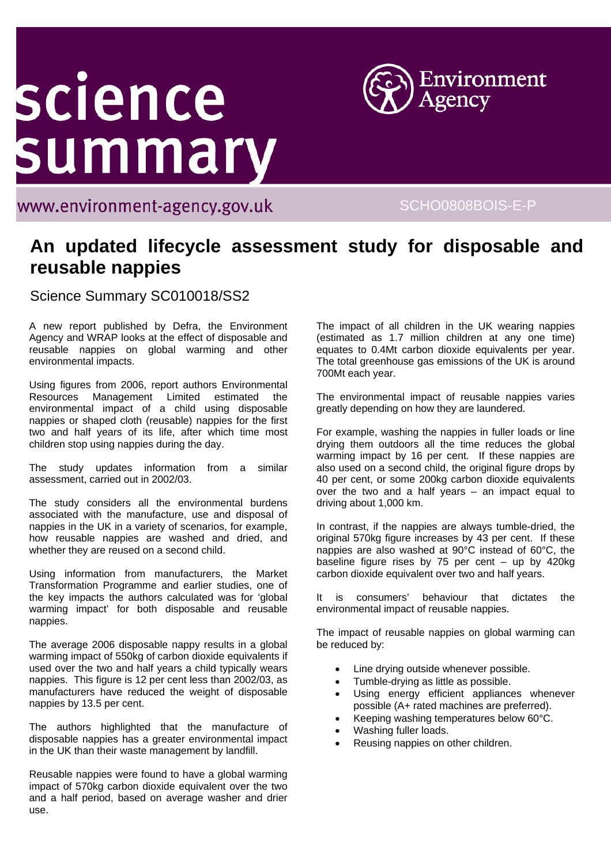## science summary



www.environment-agency.gov.uk

SCHO0808BOIS-E-P

## **An updated lifecycle assessment study for disposable and reusable nappies**

Science Summary SC010018/SS2

A new report published by Defra, the Environment Agency and WRAP looks at the effect of disposable and reusable nappies on global warming and other environmental impacts.

Using figures from 2006, report authors Environmental Resources Management Limited estimated the environmental impact of a child using disposable nappies or shaped cloth (reusable) nappies for the first two and half years of its life, after which time most children stop using nappies during the day.

The study updates information from a similar assessment, carried out in 2002/03.

The study considers all the environmental burdens associated with the manufacture, use and disposal of nappies in the UK in a variety of scenarios, for example, how reusable nappies are washed and dried, and whether they are reused on a second child.

Using information from manufacturers, the Market Transformation Programme and earlier studies, one of the key impacts the authors calculated was for 'global warming impact' for both disposable and reusable nappies.

The average 2006 disposable nappy results in a global warming impact of 550kg of carbon dioxide equivalents if used over the two and half years a child typically wears nappies. This figure is 12 per cent less than 2002/03, as manufacturers have reduced the weight of disposable nappies by 13.5 per cent.

The authors highlighted that the manufacture of disposable nappies has a greater environmental impact in the UK than their waste management by landfill.

Reusable nappies were found to have a global warming impact of 570kg carbon dioxide equivalent over the two and a half period, based on average washer and drier use.

The impact of all children in the UK wearing nappies (estimated as 1.7 million children at any one time) equates to 0.4Mt carbon dioxide equivalents per year. The total greenhouse gas emissions of the UK is around 700Mt each year.

The environmental impact of reusable nappies varies greatly depending on how they are laundered.

For example, washing the nappies in fuller loads or line drying them outdoors all the time reduces the global warming impact by 16 per cent. If these nappies are also used on a second child, the original figure drops by 40 per cent, or some 200kg carbon dioxide equivalents over the two and a half years – an impact equal to driving about 1,000 km.

In contrast, if the nappies are always tumble-dried, the original 570kg figure increases by 43 per cent. If these nappies are also washed at 90°C instead of 60°C, the baseline figure rises by 75 per cent  $-$  up by 420kg carbon dioxide equivalent over two and half years.

It is consumers' behaviour that dictates the environmental impact of reusable nappies.

The impact of reusable nappies on global warming can be reduced by:

- Line drying outside whenever possible.
- Tumble-drying as little as possible.
- Using energy efficient appliances whenever possible (A+ rated machines are preferred).
- Keeping washing temperatures below 60°C.
- Washing fuller loads.
- Reusing nappies on other children.